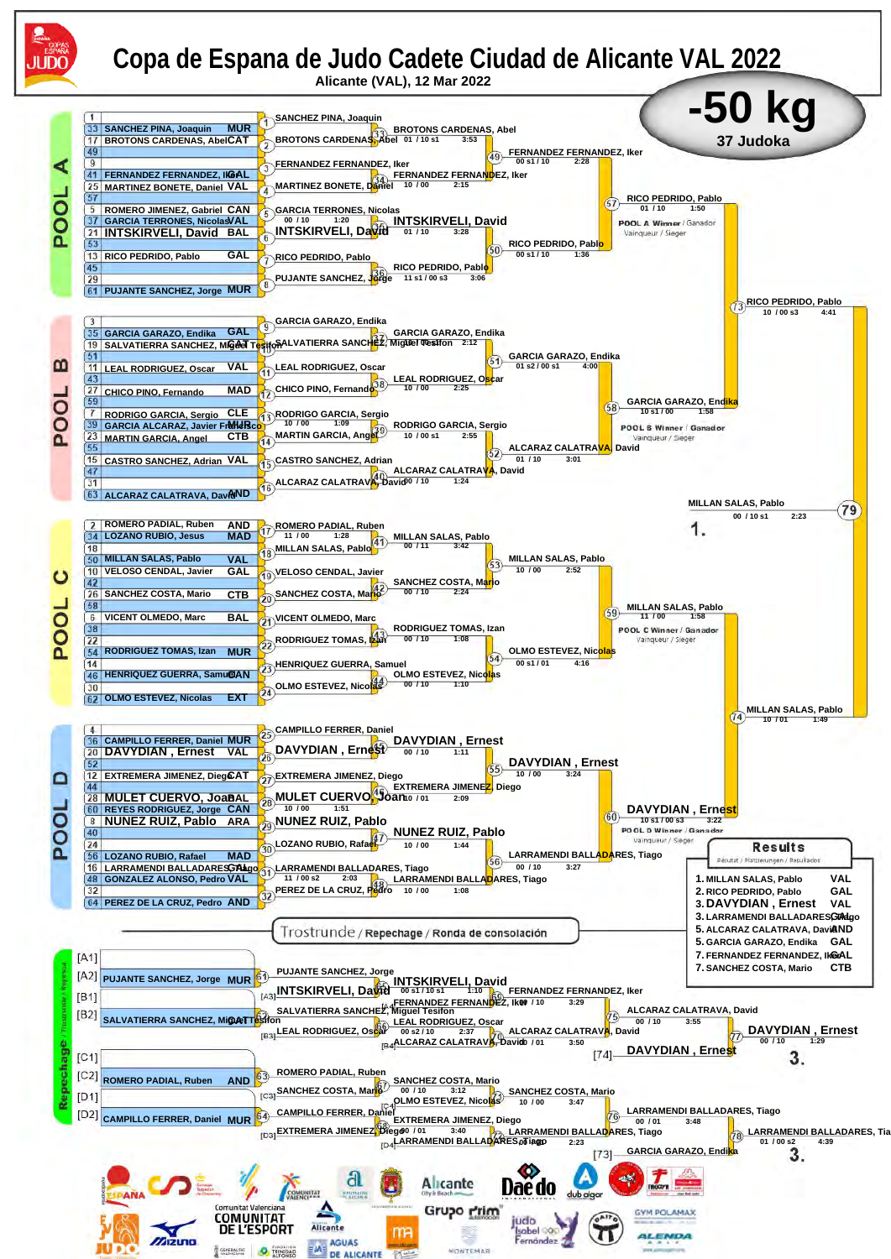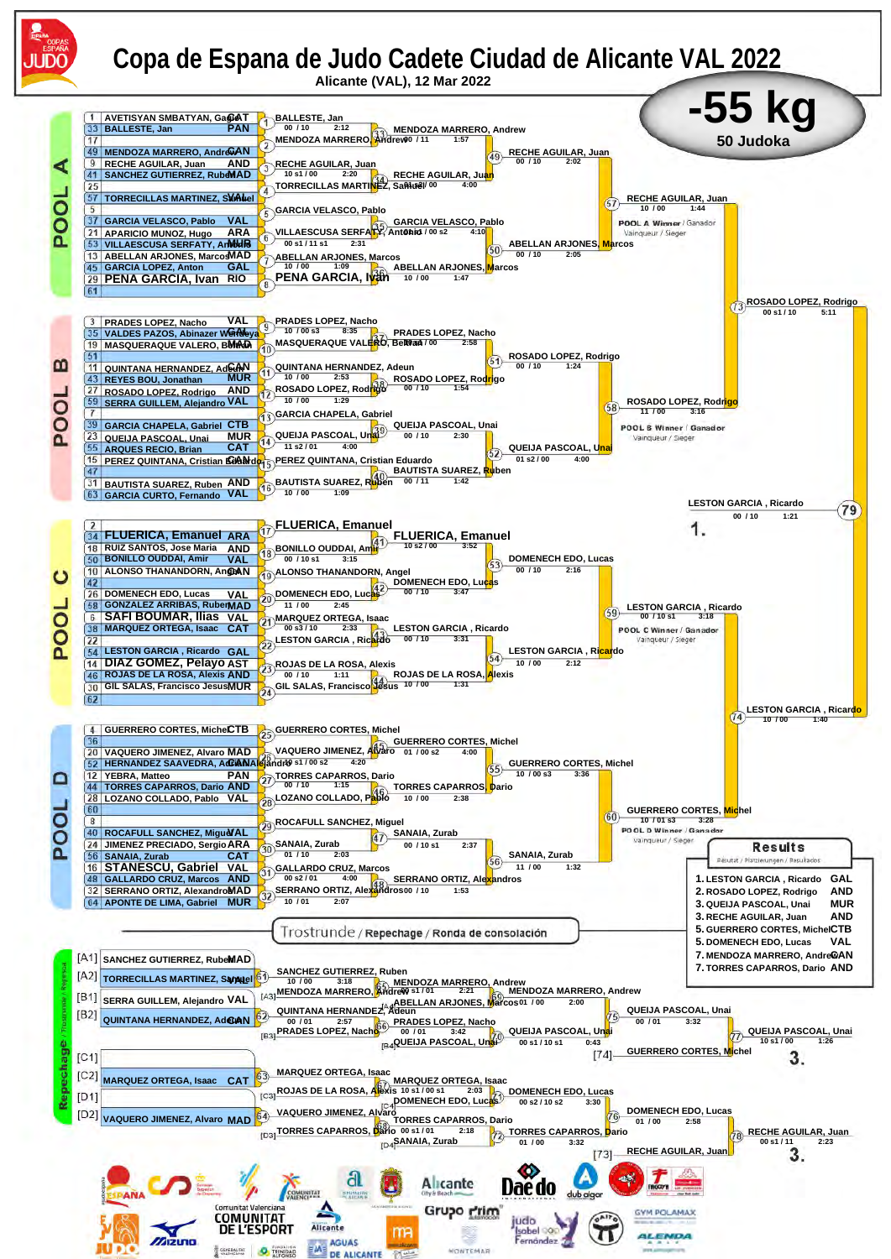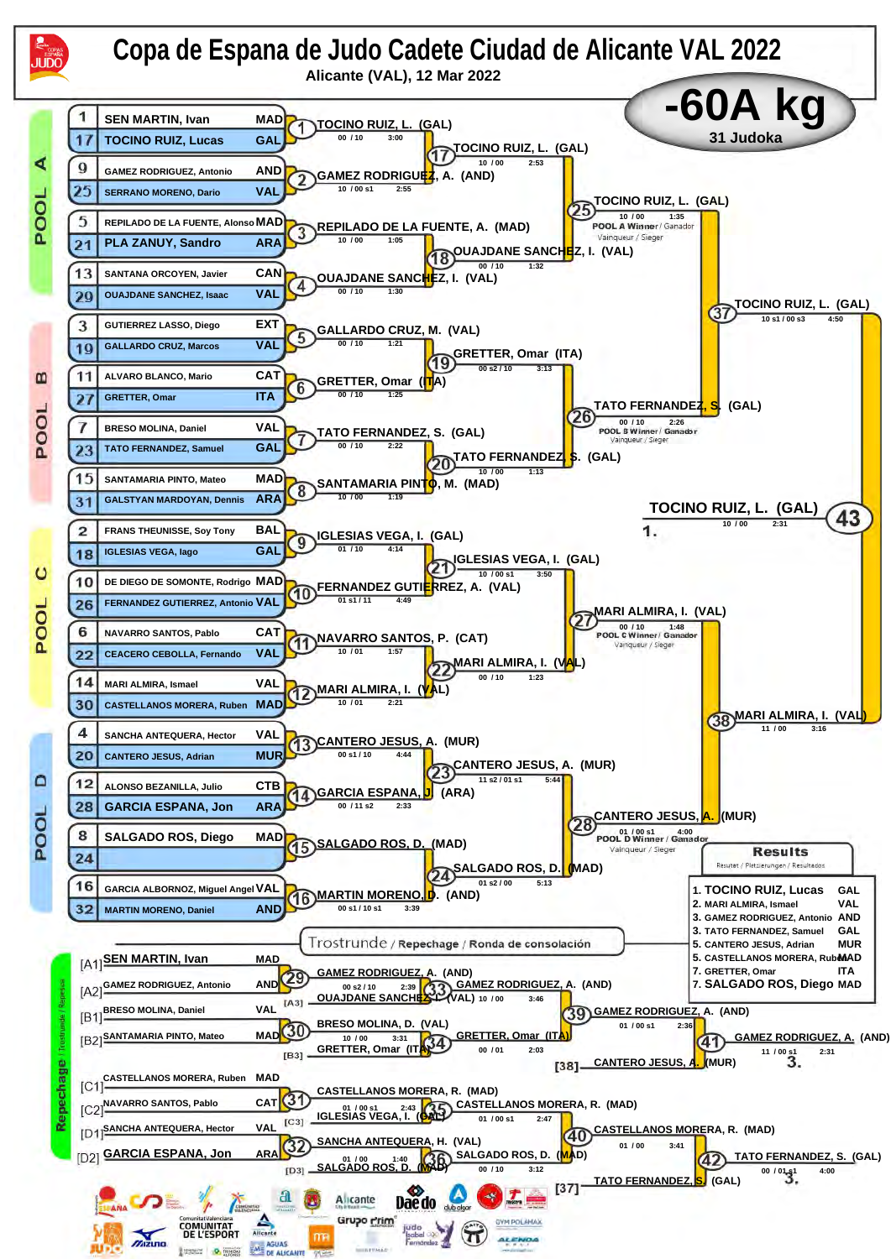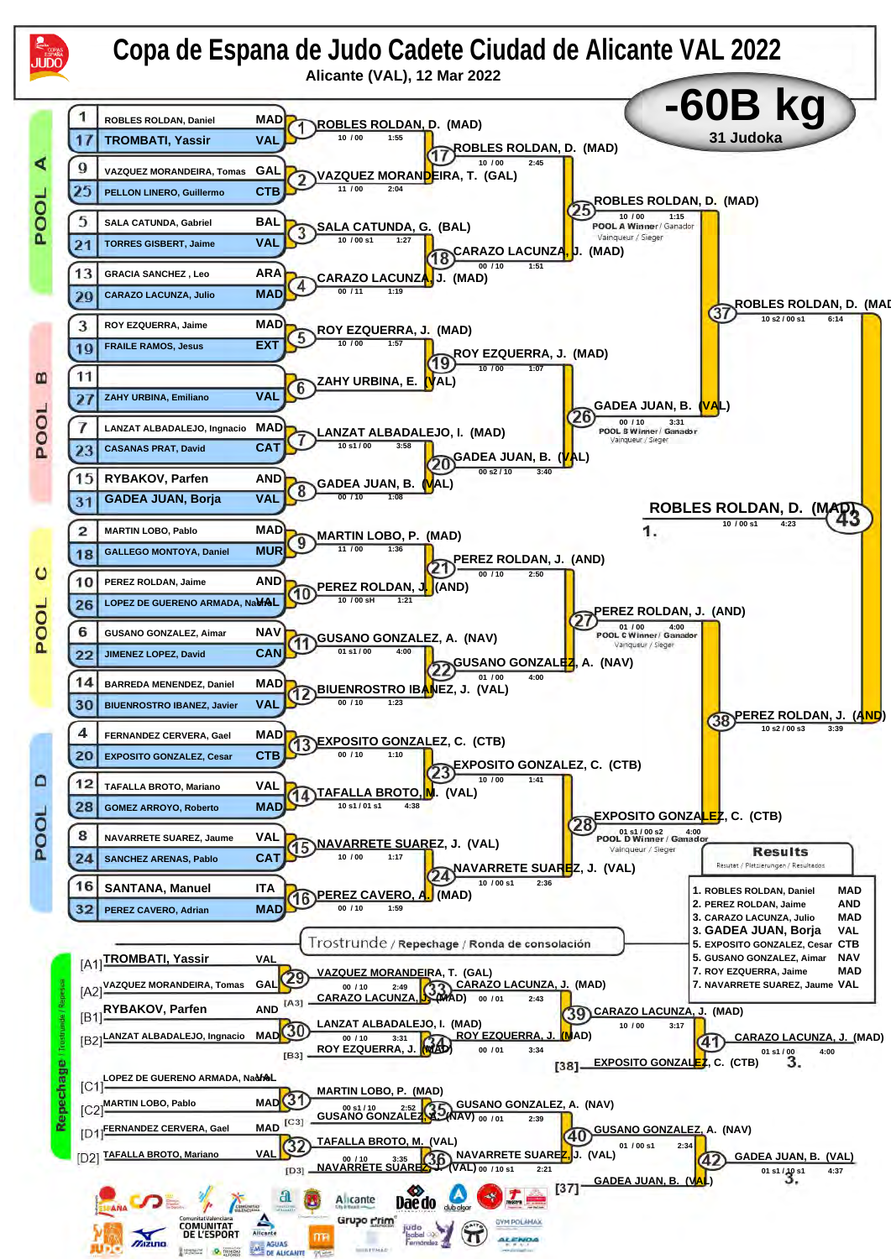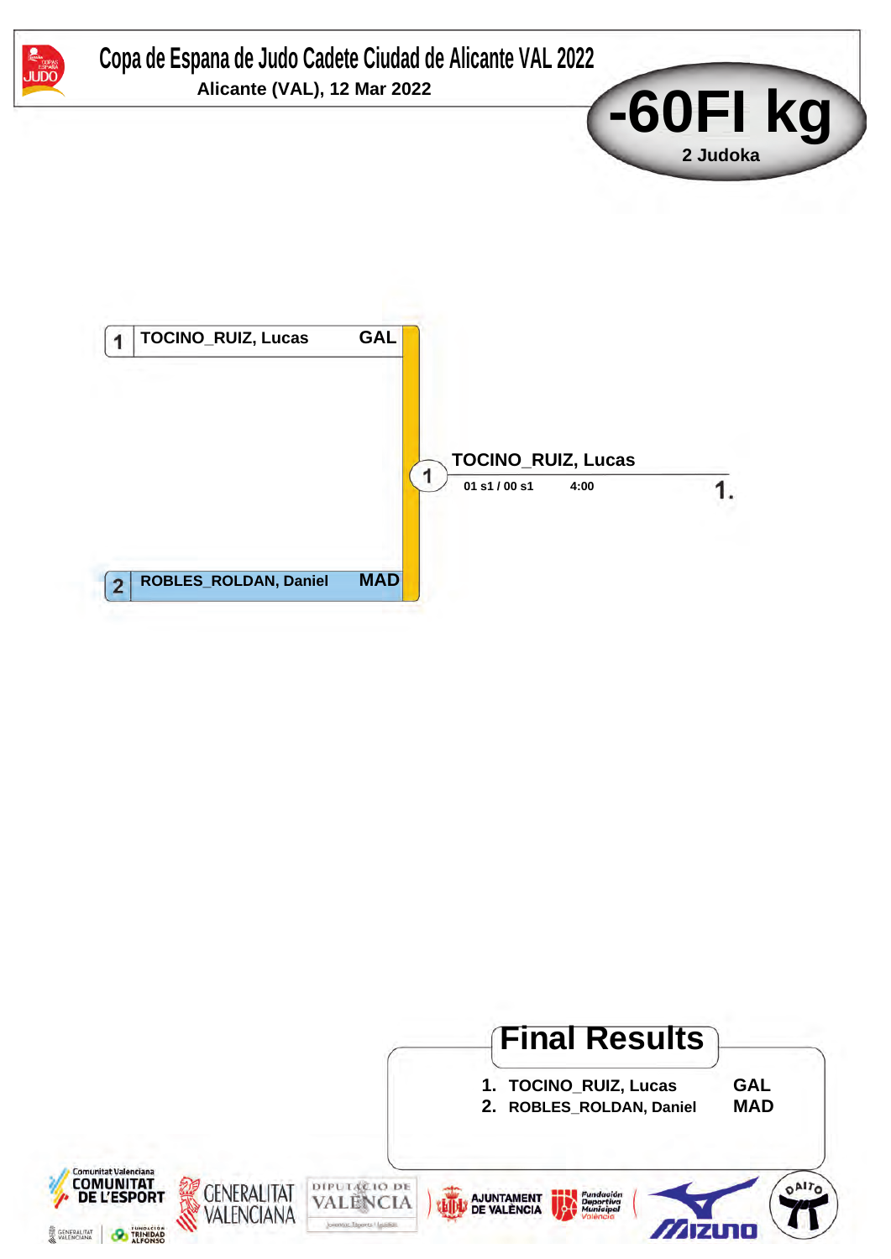

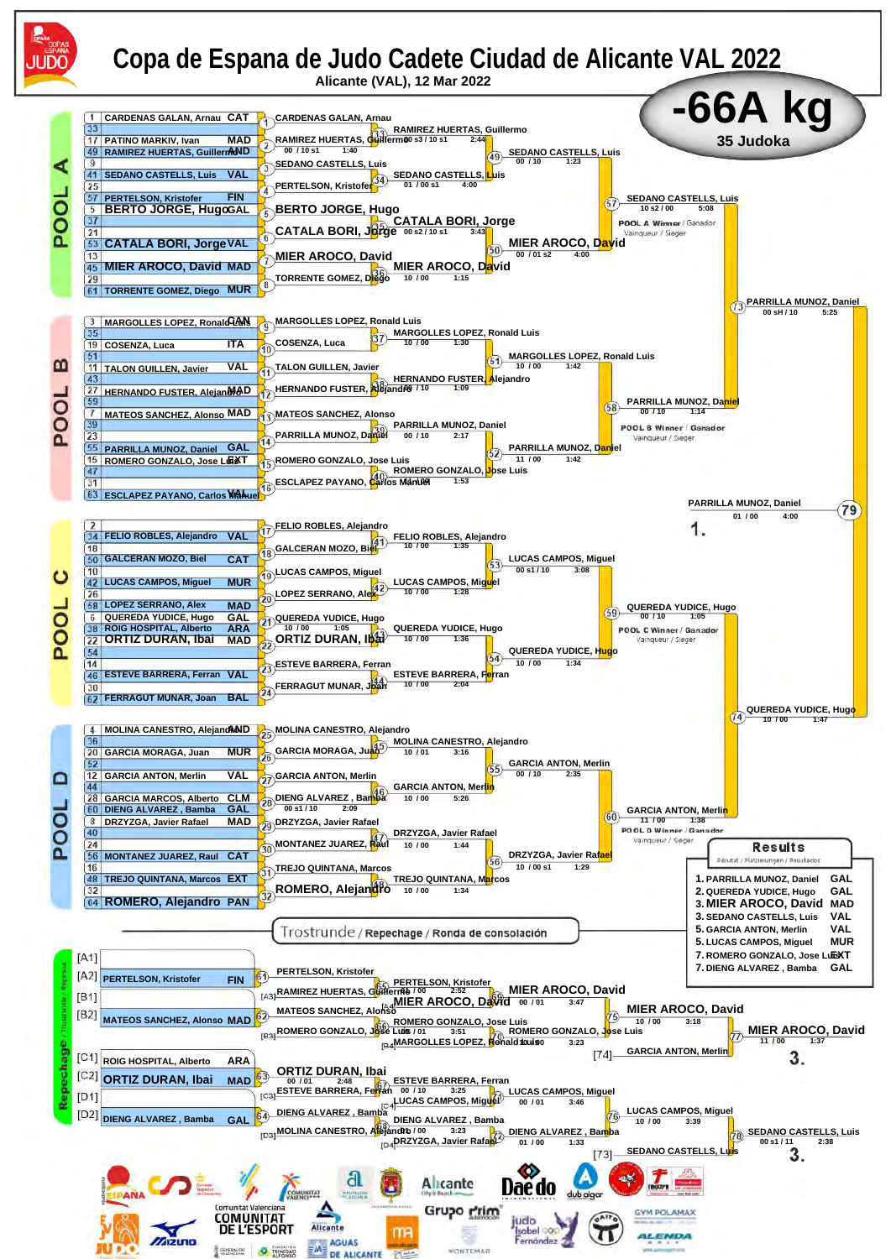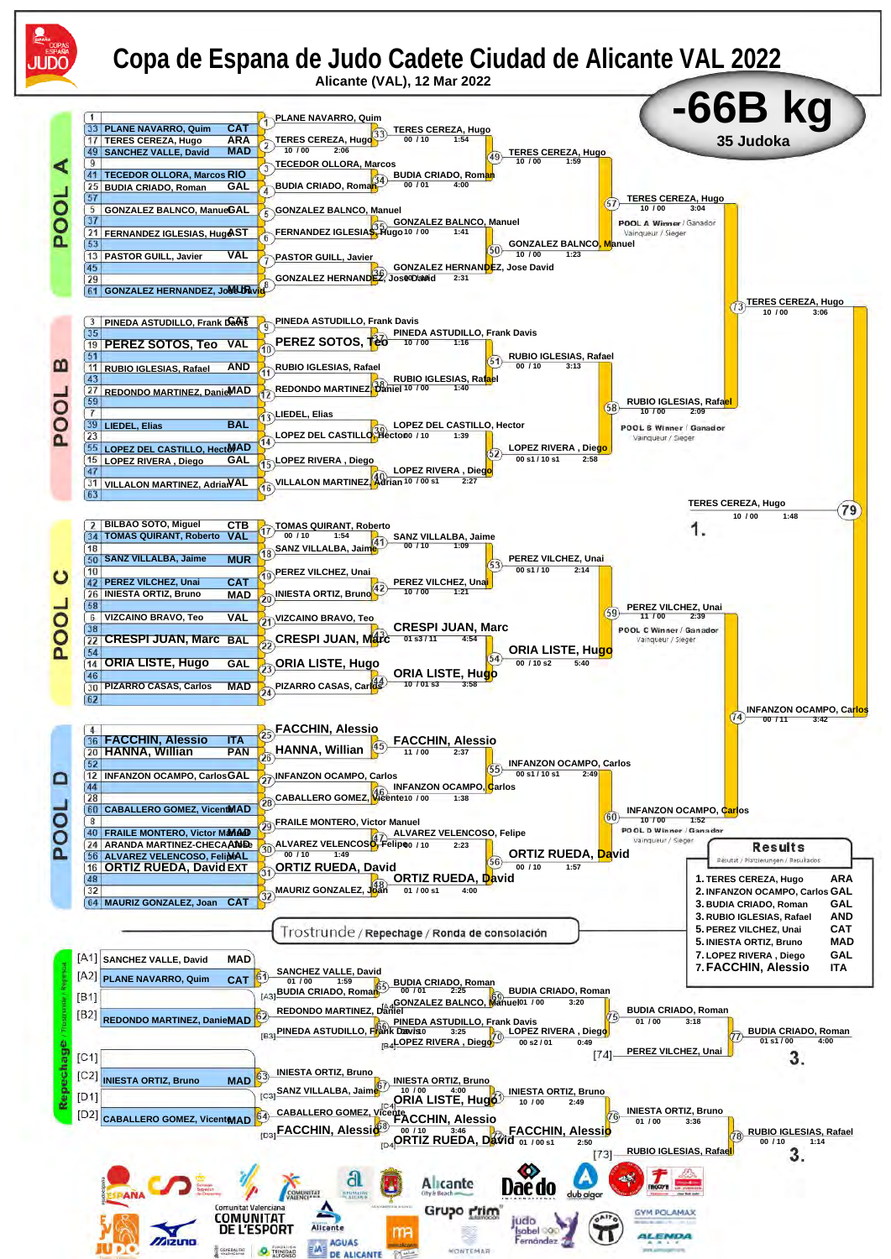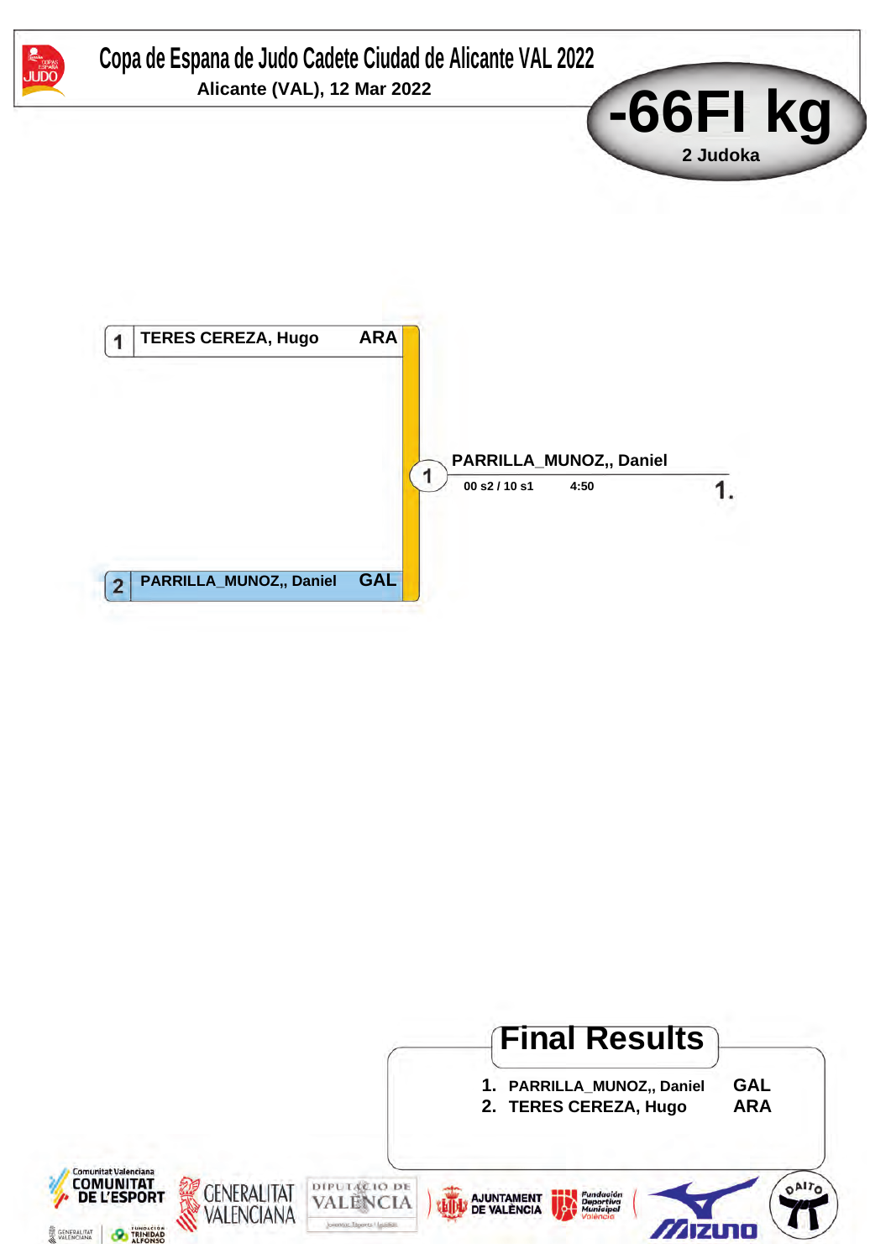

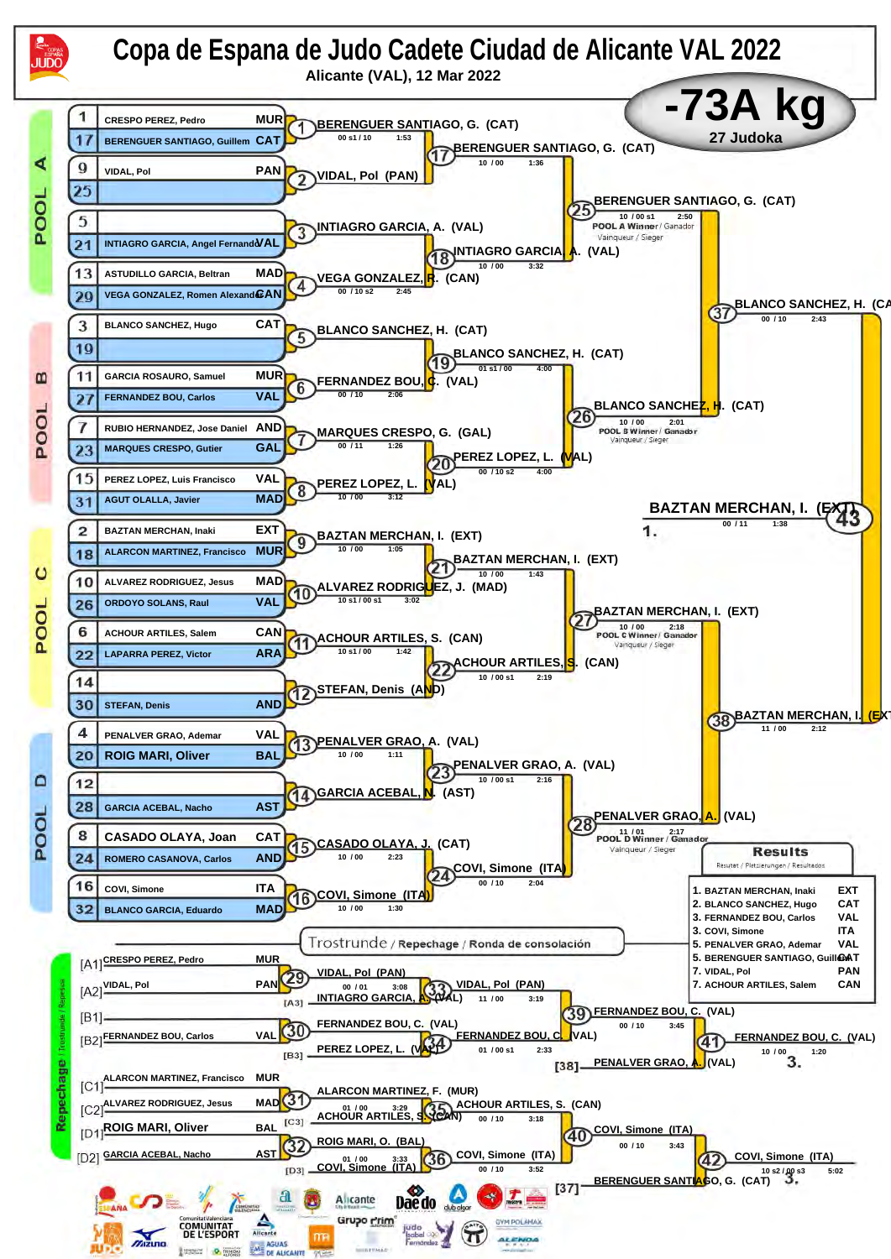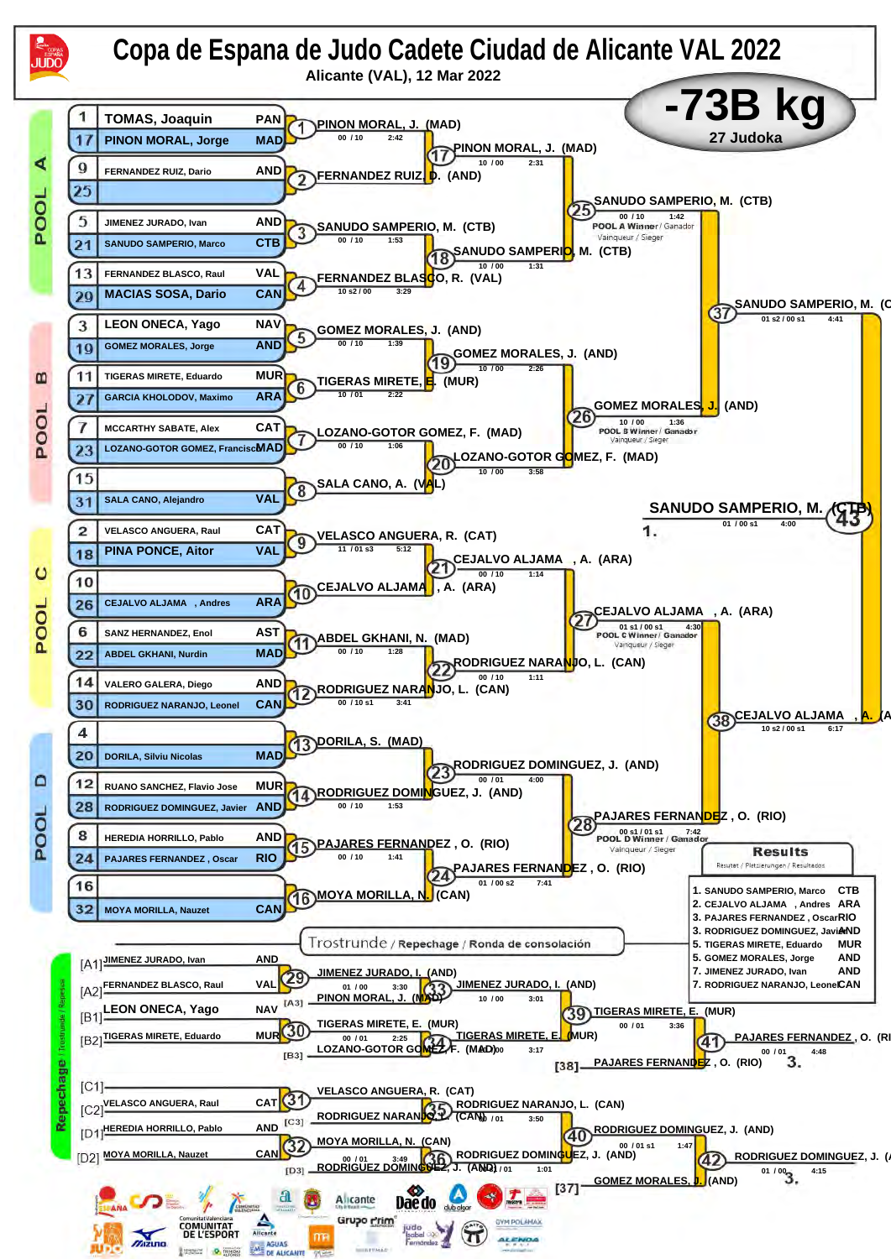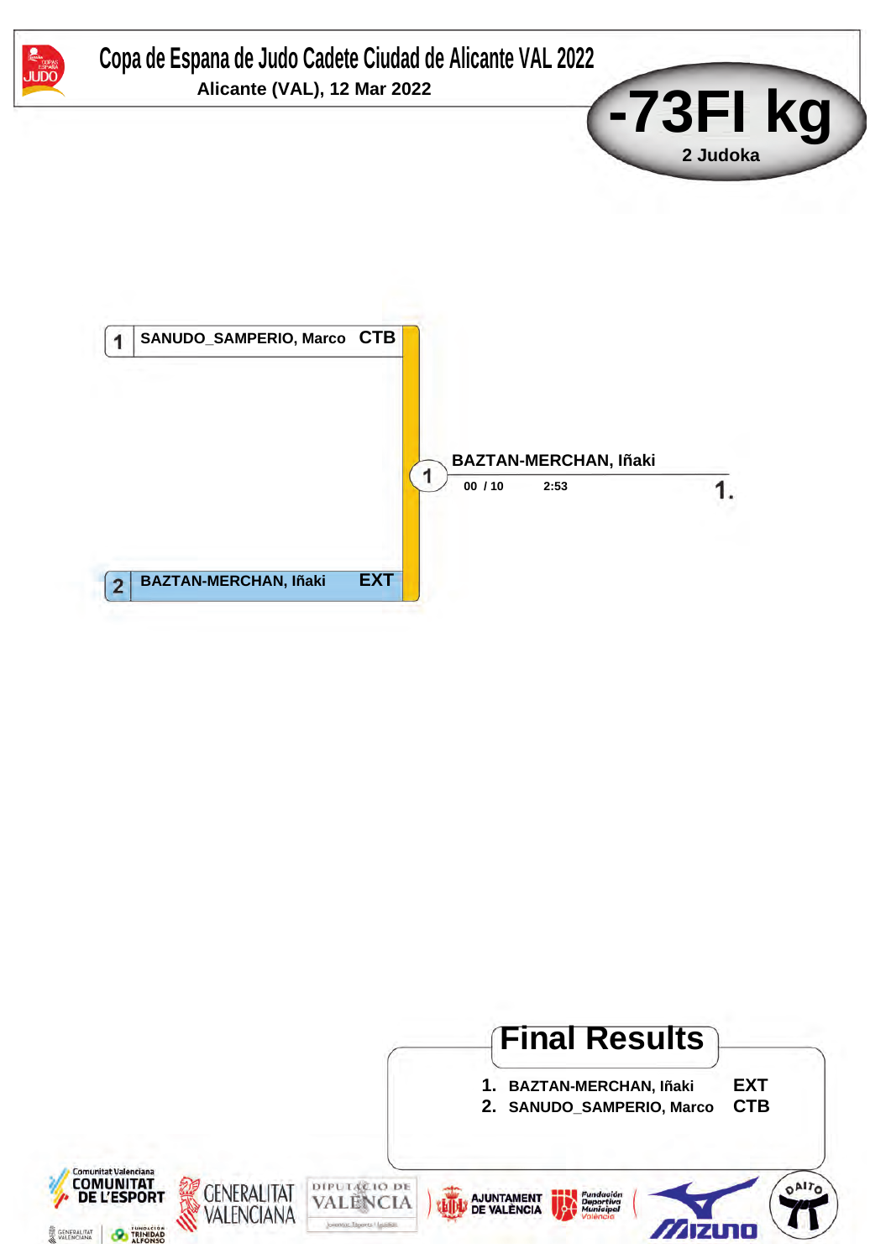

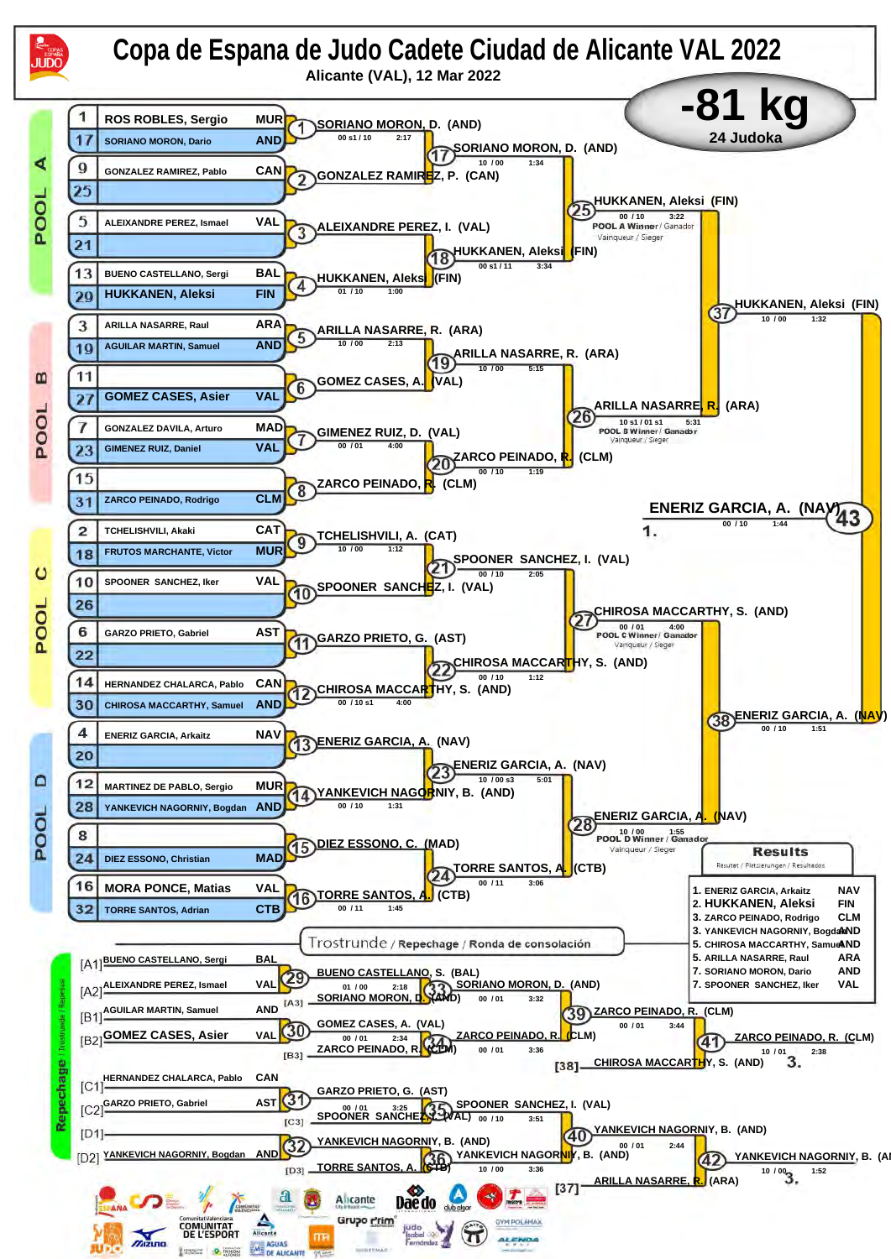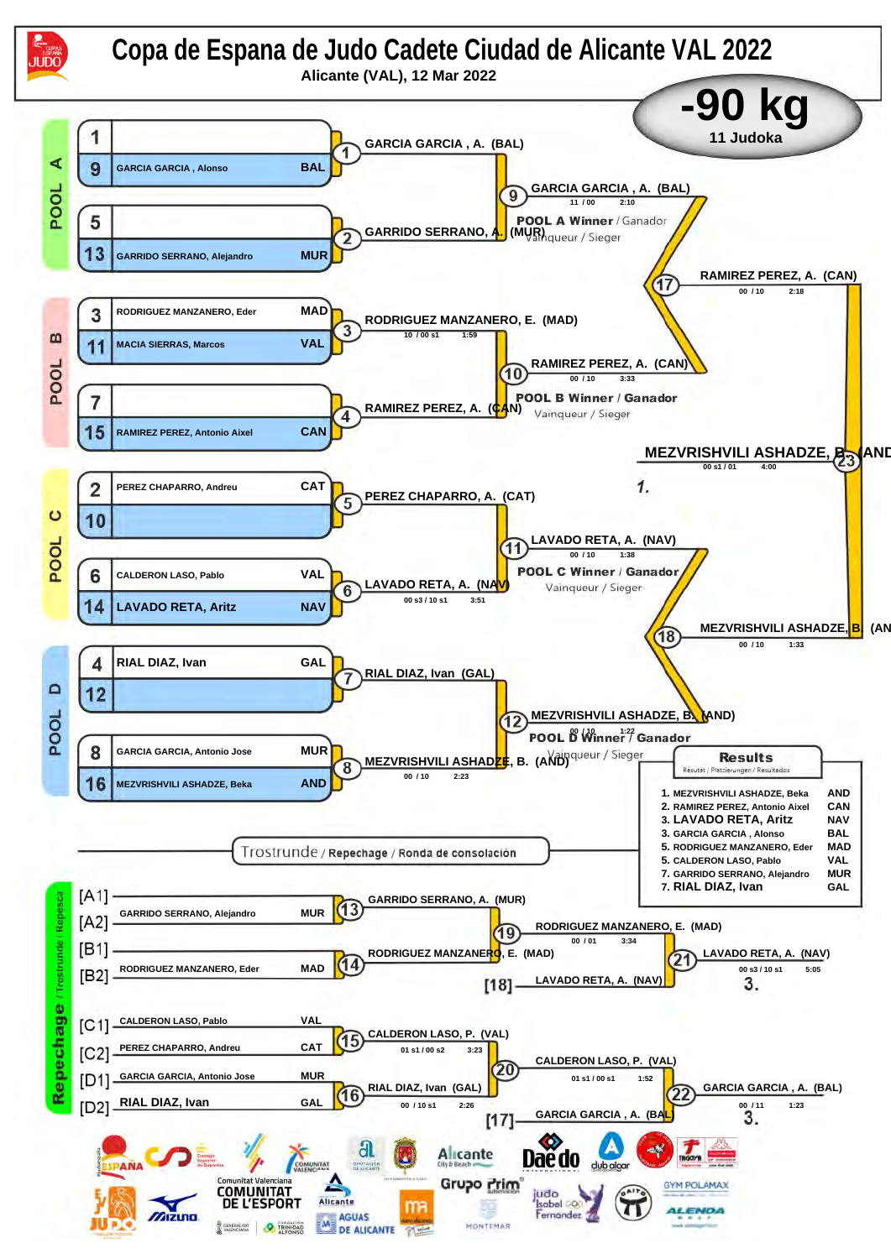![](_page_12_Figure_0.jpeg)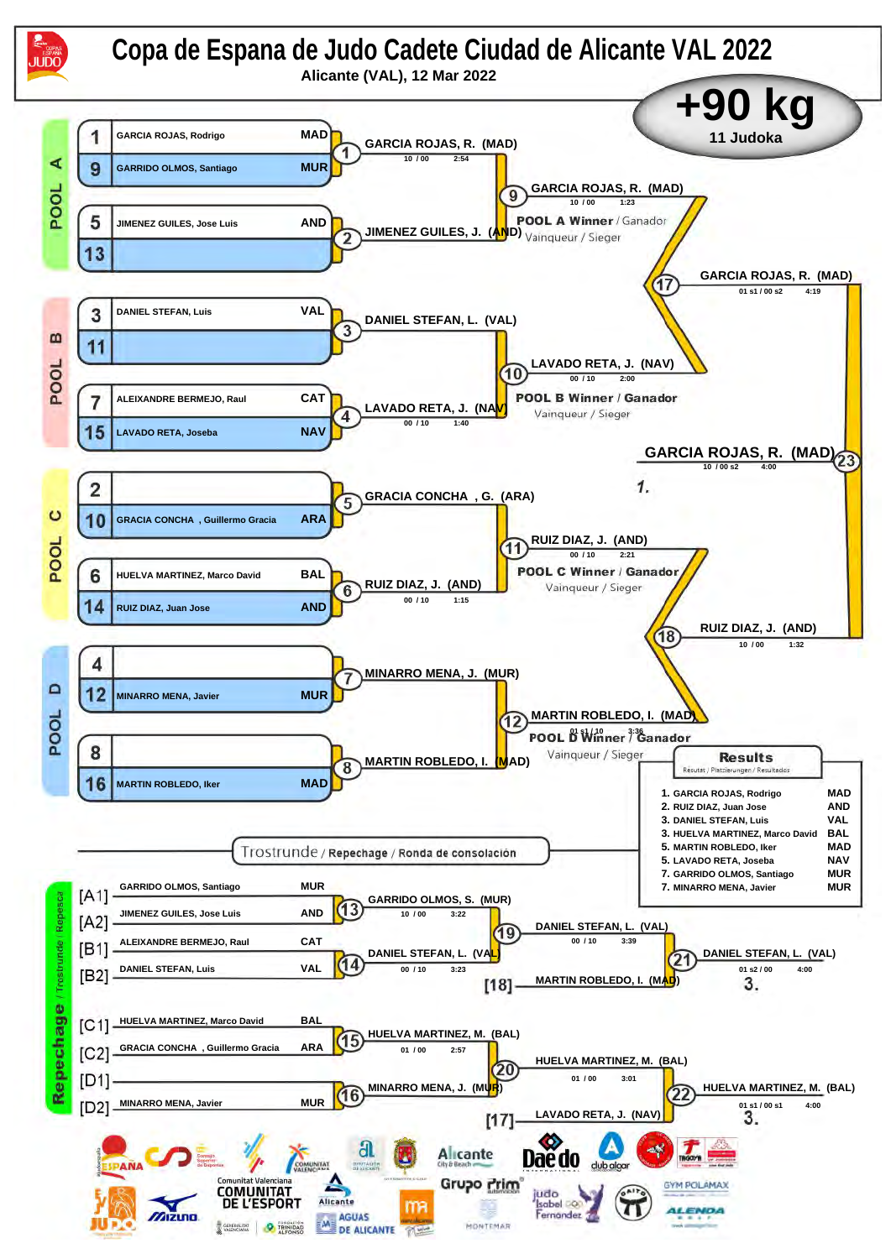![](_page_13_Figure_0.jpeg)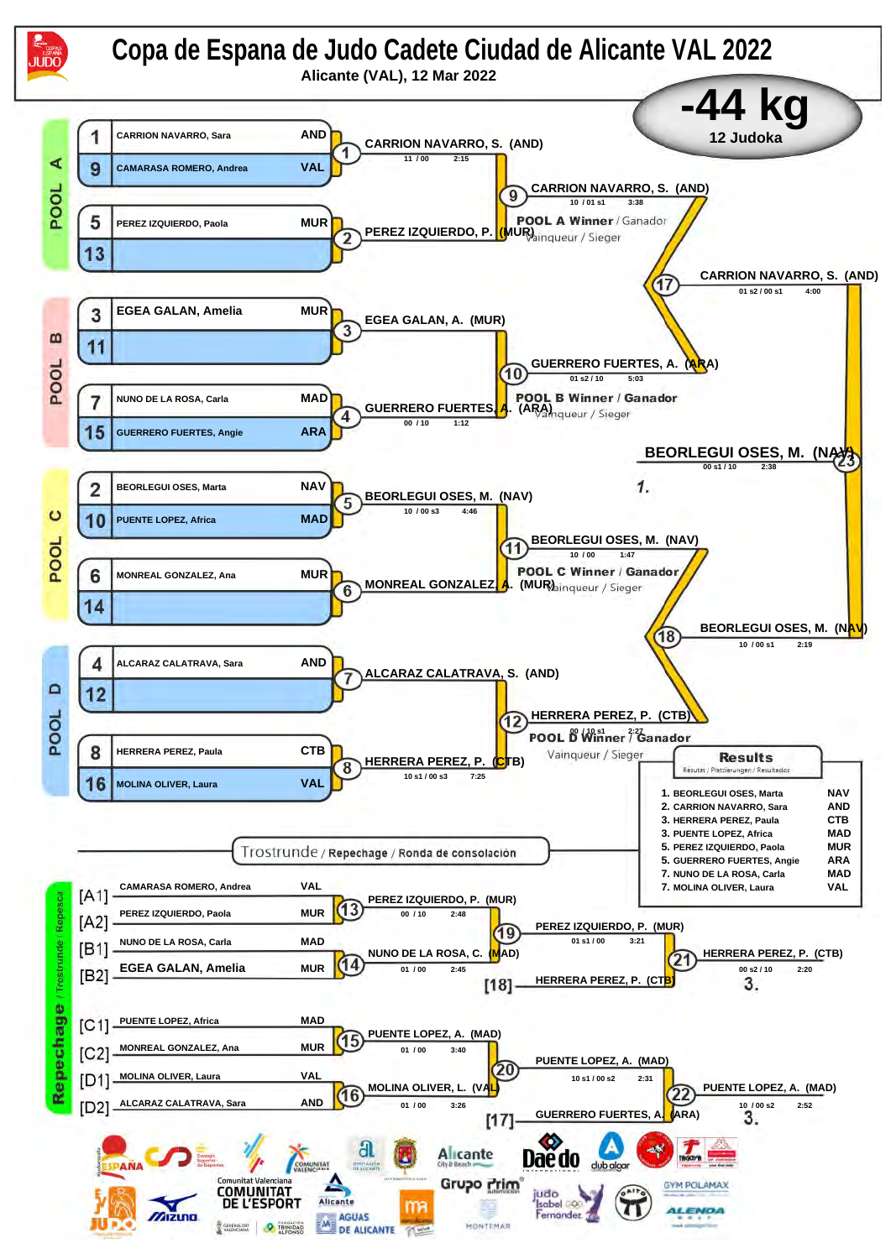![](_page_14_Figure_0.jpeg)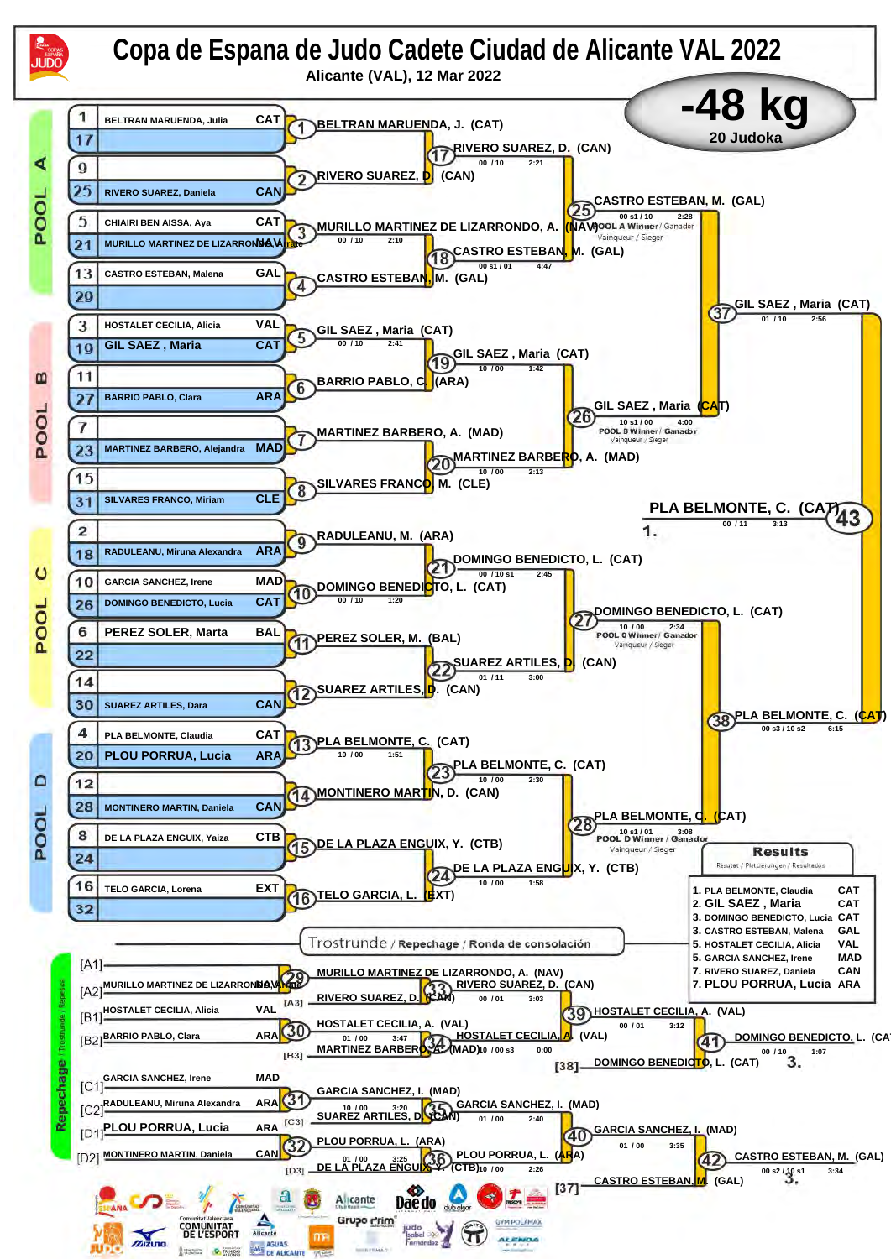![](_page_15_Figure_0.jpeg)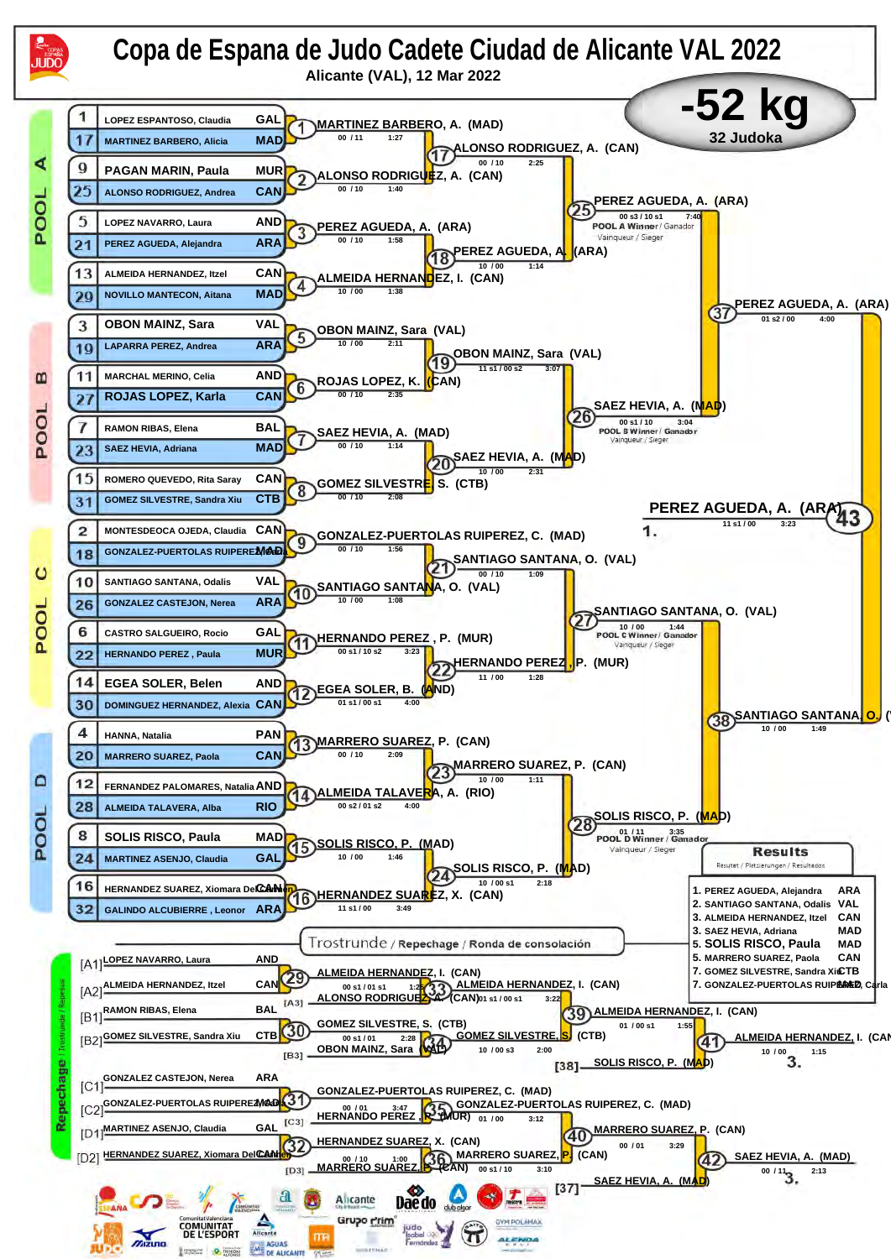![](_page_16_Figure_0.jpeg)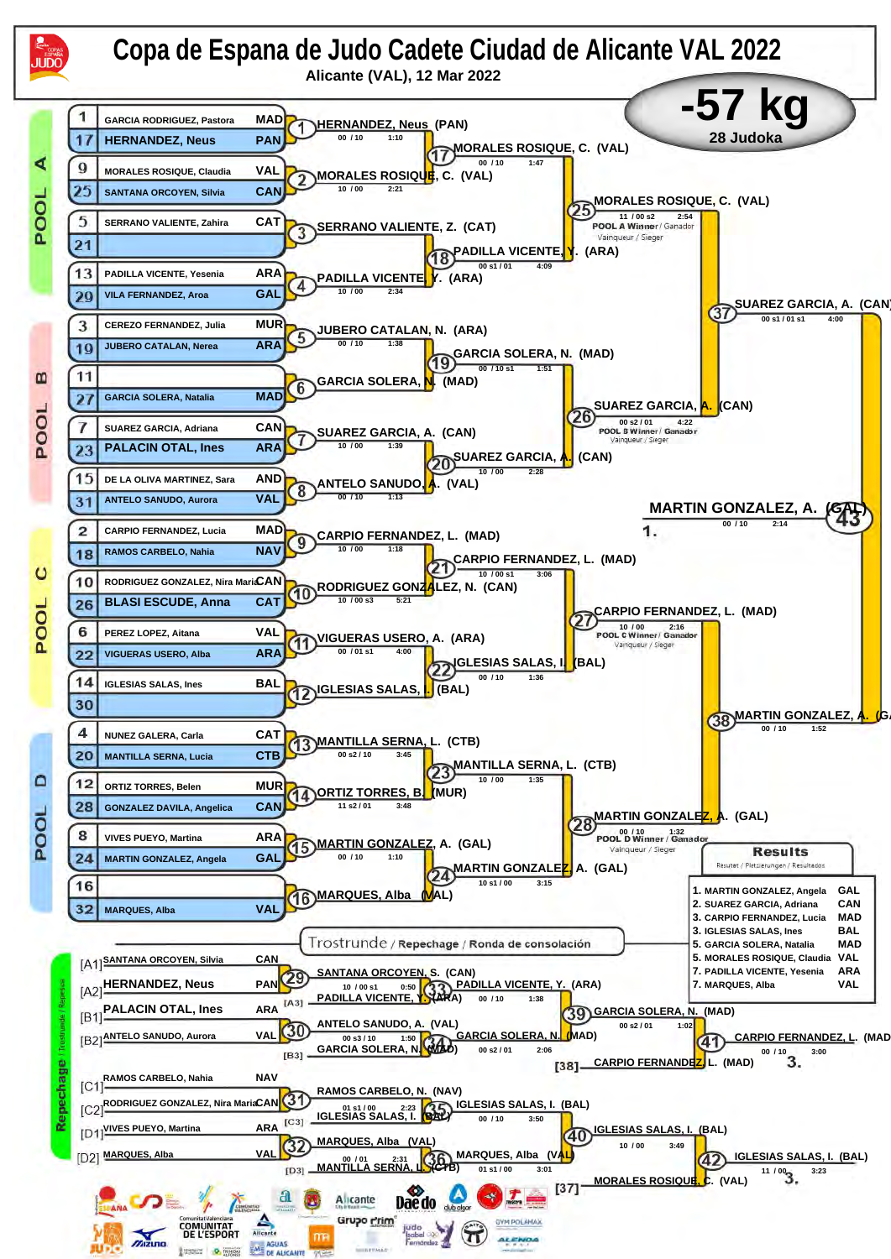![](_page_17_Figure_0.jpeg)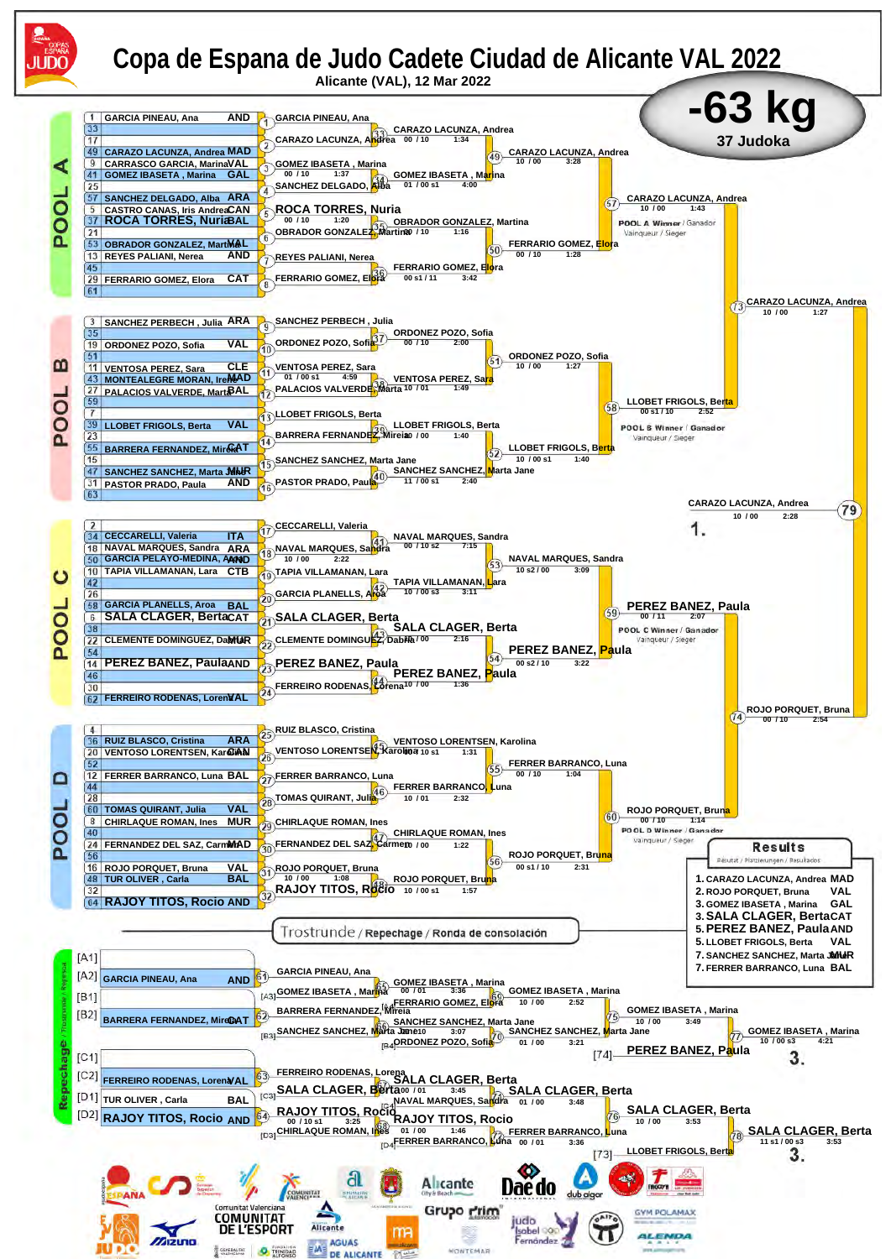![](_page_18_Figure_0.jpeg)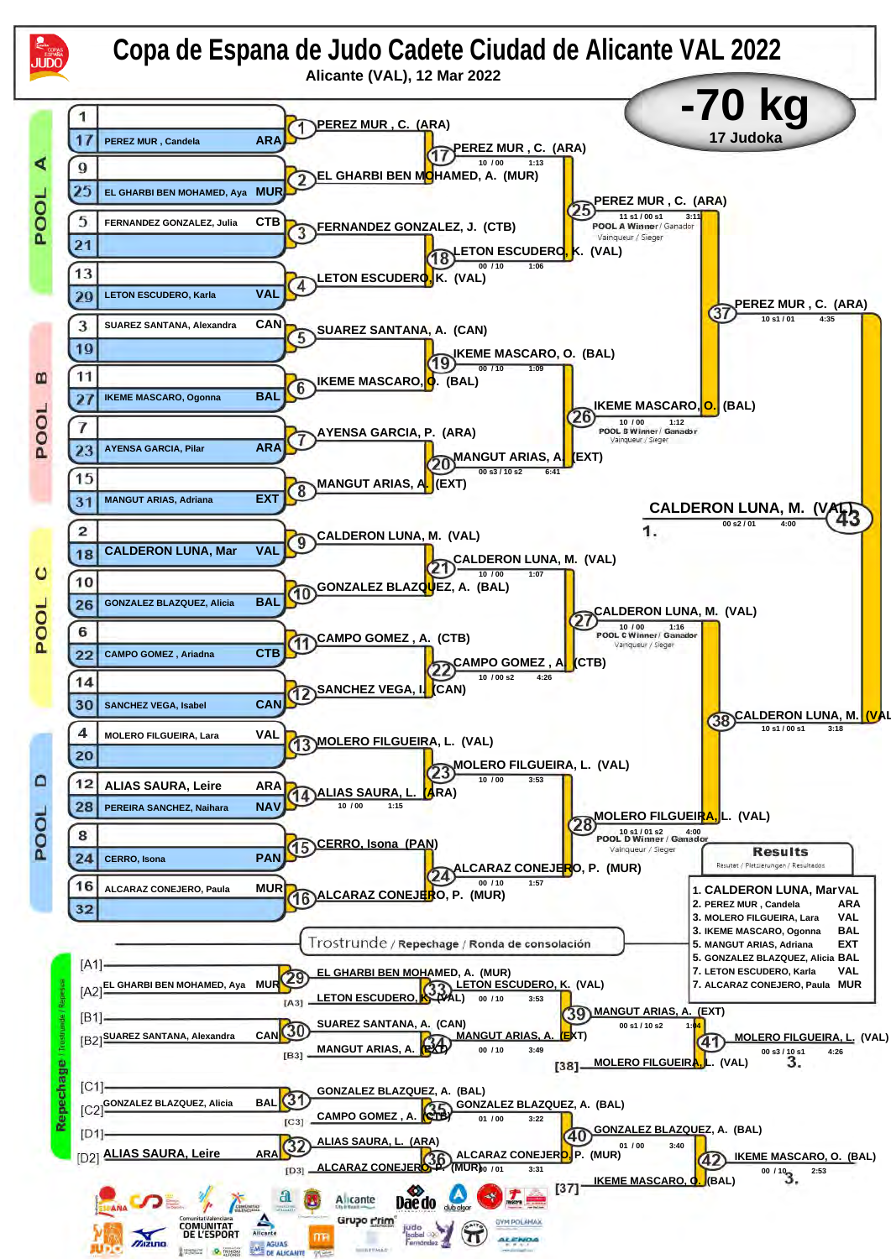![](_page_19_Figure_0.jpeg)